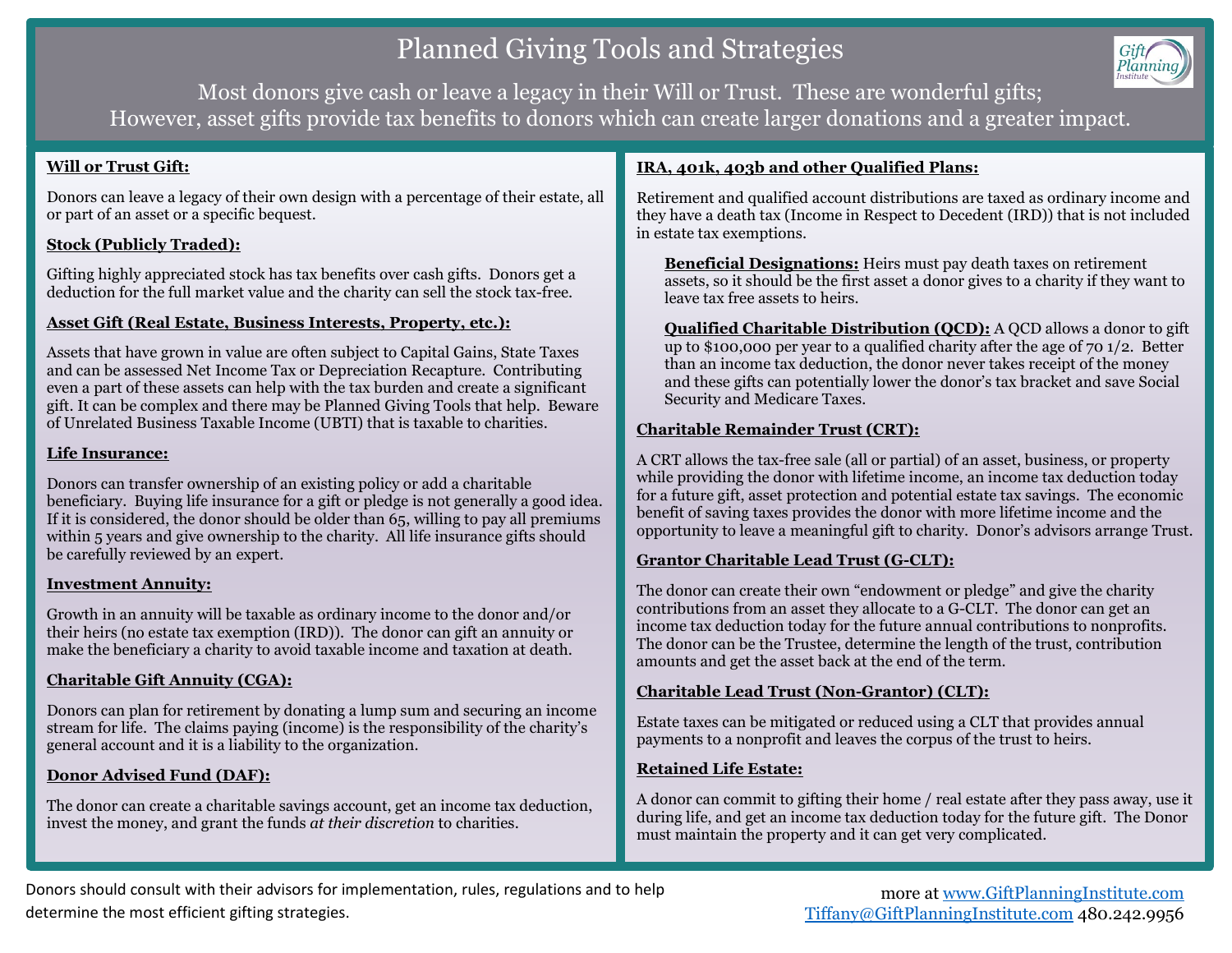# Planned Giving Tools and Strategies



Most donors give cash or leave a legacy in their Will or Trust. These are wonderful gifts; However, asset gifts provide tax benefits to donors which can create larger donations and a greater impact.

## **Will or Trust Gift:**

Donors can leave a legacy of their own design with a percentage of their estate, all or part of an asset or a specific bequest.

# **Stock (Publicly Traded):**

Gifting highly appreciated stock has tax benefits over cash gifts. Donors get a deduction for the full market value and the charity can sell the stock tax-free.

## **Asset Gift (Real Estate, Business Interests, Property, etc.):**

Assets that have grown in value are often subject to Capital Gains, State Taxes and can be assessed Net Income Tax or Depreciation Recapture. Contributing even a part of these assets can help with the tax burden and create a significant gift. It can be complex and there may be Planned Giving Tools that help. Beware of Unrelated Business Taxable Income (UBTI) that is taxable to charities.

## **Life Insurance:**

Donors can transfer ownership of an existing policy or add a charitable beneficiary. Buying life insurance for a gift or pledge is not generally a good idea. If it is considered, the donor should be older than 65, willing to pay all premiums within 5 years and give ownership to the charity. All life insurance gifts should be carefully reviewed by an expert.

#### **Investment Annuity:**

Growth in an annuity will be taxable as ordinary income to the donor and/or their heirs (no estate tax exemption (IRD)). The donor can gift an annuity or make the beneficiary a charity to avoid taxable income and taxation at death.

# **Charitable Gift Annuity (CGA):**

Donors can plan for retirement by donating a lump sum and securing an income stream for life. The claims paying (income) is the responsibility of the charity's general account and it is a liability to the organization.

# **Donor Advised Fund (DAF):**

The donor can create a charitable savings account, get an income tax deduction, invest the money, and grant the funds *at their discretion* to charities.

## **IRA, 401k, 403b and other Qualified Plans:**

Retirement and qualified account distributions are taxed as ordinary income and they have a death tax (Income in Respect to Decedent (IRD)) that is not included in estate tax exemptions.

**Beneficial Designations:** Heirs must pay death taxes on retirement assets, so it should be the first asset a donor gives to a charity if they want to leave tax free assets to heirs.

**Qualified Charitable Distribution (QCD):** A QCD allows a donor to gift up to \$100,000 per year to a qualified charity after the age of 70 1/2. Better than an income tax deduction, the donor never takes receipt of the money and these gifts can potentially lower the donor's tax bracket and save Social Security and Medicare Taxes.

## **Charitable Remainder Trust (CRT):**

A CRT allows the tax-free sale (all or partial) of an asset, business, or property while providing the donor with lifetime income, an income tax deduction today for a future gift, asset protection and potential estate tax savings. The economic benefit of saving taxes provides the donor with more lifetime income and the opportunity to leave a meaningful gift to charity. Donor's advisors arrange Trust.

# **Grantor Charitable Lead Trust (G-CLT):**

The donor can create their own "endowment or pledge" and give the charity contributions from an asset they allocate to a G-CLT. The donor can get an income tax deduction today for the future annual contributions to nonprofits. The donor can be the Trustee, determine the length of the trust, contribution amounts and get the asset back at the end of the term.

#### **Charitable Lead Trust (Non-Grantor) (CLT):**

Estate taxes can be mitigated or reduced using a CLT that provides annual payments to a nonprofit and leaves the corpus of the trust to heirs.

#### **Retained Life Estate:**

A donor can commit to gifting their home / real estate after they pass away, use it during life, and get an income tax deduction today for the future gift. The Donor must maintain the property and it can get very complicated.

Donors should consult with their advisors for implementation, rules, regulations and to help determine the most efficient gifting strategies.